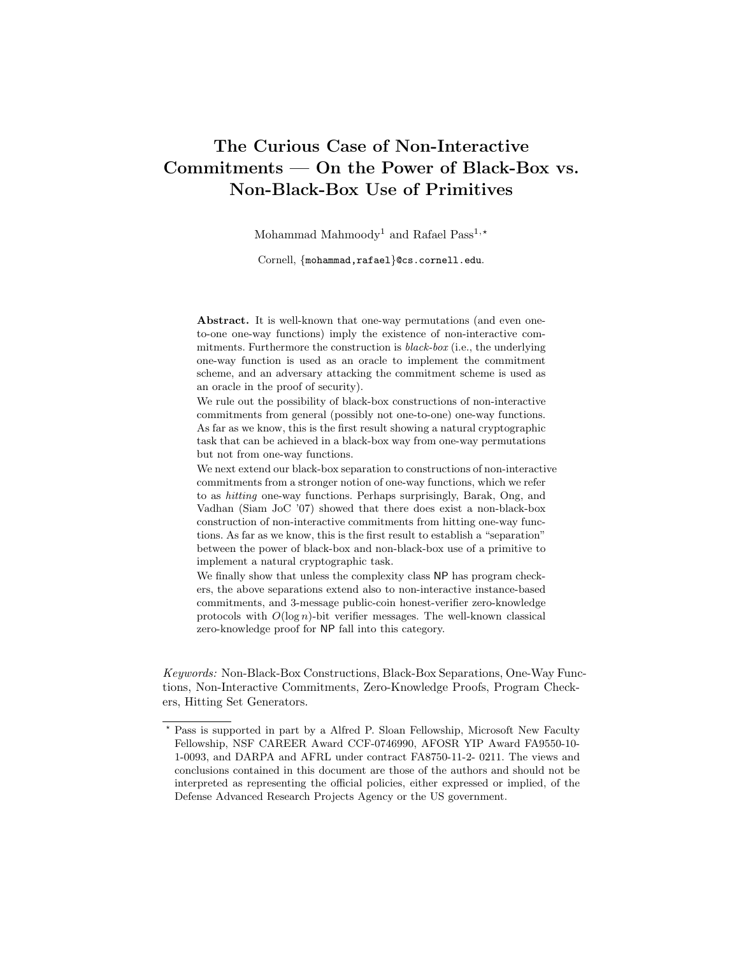# The Curious Case of Non-Interactive Commitments — On the Power of Black-Box vs. Non-Black-Box Use of Primitives

Mohammad Mahmoody<sup>1</sup> and Rafael Pass<sup>1,\*</sup>

Cornell, {mohammad,rafael}@cs.cornell.edu.

Abstract. It is well-known that one-way permutations (and even oneto-one one-way functions) imply the existence of non-interactive commitments. Furthermore the construction is black-box (i.e., the underlying one-way function is used as an oracle to implement the commitment scheme, and an adversary attacking the commitment scheme is used as an oracle in the proof of security).

We rule out the possibility of black-box constructions of non-interactive commitments from general (possibly not one-to-one) one-way functions. As far as we know, this is the first result showing a natural cryptographic task that can be achieved in a black-box way from one-way permutations but not from one-way functions.

We next extend our black-box separation to constructions of non-interactive commitments from a stronger notion of one-way functions, which we refer to as hitting one-way functions. Perhaps surprisingly, Barak, Ong, and Vadhan (Siam JoC '07) showed that there does exist a non-black-box construction of non-interactive commitments from hitting one-way functions. As far as we know, this is the first result to establish a "separation" between the power of black-box and non-black-box use of a primitive to implement a natural cryptographic task.

We finally show that unless the complexity class NP has program checkers, the above separations extend also to non-interactive instance-based commitments, and 3-message public-coin honest-verifier zero-knowledge protocols with  $O(\log n)$ -bit verifier messages. The well-known classical zero-knowledge proof for NP fall into this category.

Keywords: Non-Black-Box Constructions, Black-Box Separations, One-Way Functions, Non-Interactive Commitments, Zero-Knowledge Proofs, Program Checkers, Hitting Set Generators.

<sup>?</sup> Pass is supported in part by a Alfred P. Sloan Fellowship, Microsoft New Faculty Fellowship, NSF CAREER Award CCF-0746990, AFOSR YIP Award FA9550-10- 1-0093, and DARPA and AFRL under contract FA8750-11-2- 0211. The views and conclusions contained in this document are those of the authors and should not be interpreted as representing the official policies, either expressed or implied, of the Defense Advanced Research Projects Agency or the US government.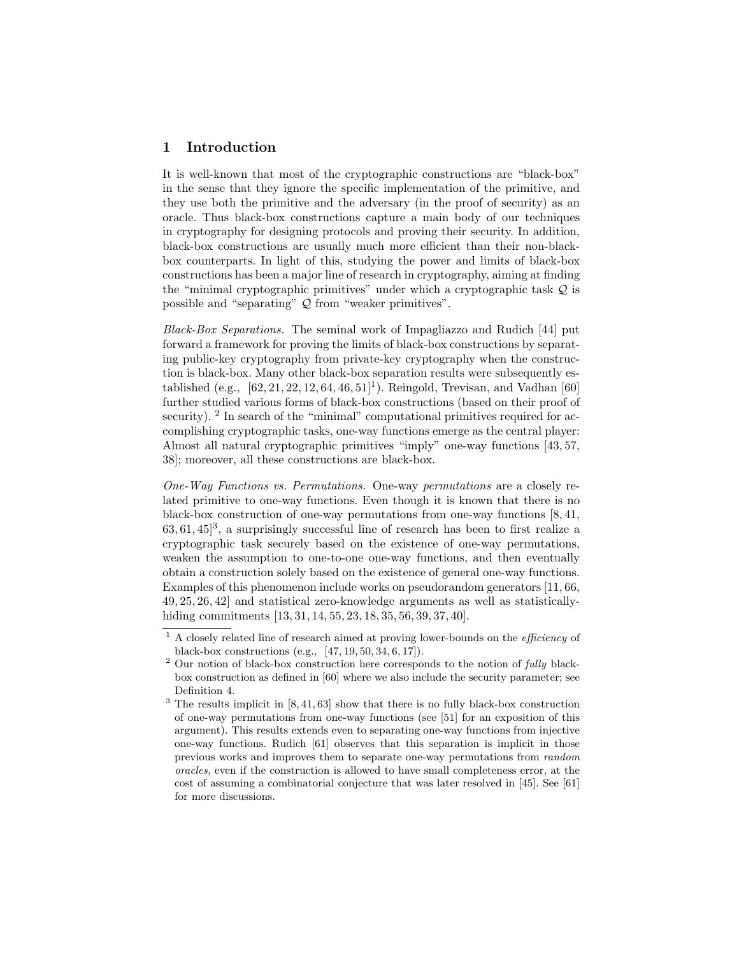# 1 Introduction

It is well-known that most of the cryptographic constructions are "black-box" in the sense that they ignore the specific implementation of the primitive, and they use both the primitive and the adversary (in the proof of security) as an oracle. Thus black-box constructions capture a main body of our techniques in cryptography for designing protocols and proving their security. In addition, black-box constructions are usually much more efficient than their non-blackbox counterparts. In light of this, studying the power and limits of black-box constructions has been a major line of research in cryptography, aiming at finding the "minimal cryptographic primitives" under which a cryptographic task Q is possible and "separating" Q from "weaker primitives".

Black-Box Separations. The seminal work of Impagliazzo and Rudich [44] put forward a framework for proving the limits of black-box constructions by separating public-key cryptography from private-key cryptography when the construction is black-box. Many other black-box separation results were subsequently established (e.g.,  $[62, 21, 22, 12, 64, 46, 51]$ <sup>1</sup>). Reingold, Trevisan, and Vadhan  $[60]$ further studied various forms of black-box constructions (based on their proof of security).  $2 \text{ In search of the "minimal" computational primitives required for ac-}$ complishing cryptographic tasks, one-way functions emerge as the central player: Almost all natural cryptographic primitives "imply" one-way functions [43, 57, 38]; moreover, all these constructions are black-box.

One-Way Functions vs. Permutations. One-way permutations are a closely related primitive to one-way functions. Even though it is known that there is no black-box construction of one-way permutations from one-way functions [8, 41,  $63, 61, 45$ <sup>3</sup>, a surprisingly successful line of research has been to first realize a cryptographic task securely based on the existence of one-way permutations, weaken the assumption to one-to-one one-way functions, and then eventually obtain a construction solely based on the existence of general one-way functions. Examples of this phenomenon include works on pseudorandom generators [11, 66, 49, 25, 26, 42] and statistical zero-knowledge arguments as well as statisticallyhiding commitments [13, 31, 14, 55, 23, 18, 35, 56, 39, 37, 40].

<sup>1</sup> A closely related line of research aimed at proving lower-bounds on the efficiency of black-box constructions (e.g., [47, 19, 50, 34, 6, 17]).

 $2$  Our notion of black-box construction here corresponds to the notion of *fully* blackbox construction as defined in [60] where we also include the security parameter; see Definition 4.

<sup>&</sup>lt;sup>3</sup> The results implicit in [8, 41, 63] show that there is no fully black-box construction of one-way permutations from one-way functions (see [51] for an exposition of this argument). This results extends even to separating one-way functions from injective one-way functions. Rudich [61] observes that this separation is implicit in those previous works and improves them to separate one-way permutations from random oracles, even if the construction is allowed to have small completeness error, at the cost of assuming a combinatorial conjecture that was later resolved in [45]. See [61] for more discussions.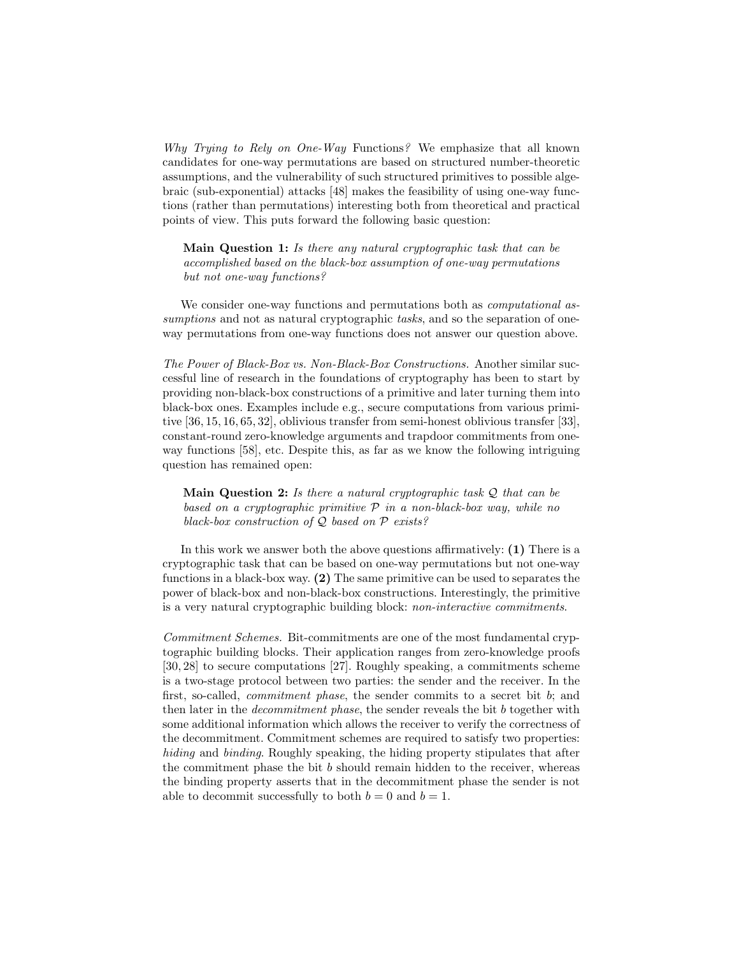Why Trying to Rely on One-Way Functions? We emphasize that all known candidates for one-way permutations are based on structured number-theoretic assumptions, and the vulnerability of such structured primitives to possible algebraic (sub-exponential) attacks [48] makes the feasibility of using one-way functions (rather than permutations) interesting both from theoretical and practical points of view. This puts forward the following basic question:

Main Question 1: Is there any natural cryptographic task that can be accomplished based on the black-box assumption of one-way permutations but not one-way functions?

We consider one-way functions and permutations both as *computational* assumptions and not as natural cryptographic tasks, and so the separation of oneway permutations from one-way functions does not answer our question above.

The Power of Black-Box vs. Non-Black-Box Constructions. Another similar successful line of research in the foundations of cryptography has been to start by providing non-black-box constructions of a primitive and later turning them into black-box ones. Examples include e.g., secure computations from various primitive [36, 15, 16, 65, 32], oblivious transfer from semi-honest oblivious transfer [33], constant-round zero-knowledge arguments and trapdoor commitments from oneway functions [58], etc. Despite this, as far as we know the following intriguing question has remained open:

**Main Question 2:** Is there a natural cryptographic task  $Q$  that can be based on a cryptographic primitive  $P$  in a non-black-box way, while no black-box construction of  $Q$  based on  $P$  exists?

In this work we answer both the above questions affirmatively: (1) There is a cryptographic task that can be based on one-way permutations but not one-way functions in a black-box way. (2) The same primitive can be used to separates the power of black-box and non-black-box constructions. Interestingly, the primitive is a very natural cryptographic building block: non-interactive commitments.

Commitment Schemes. Bit-commitments are one of the most fundamental cryptographic building blocks. Their application ranges from zero-knowledge proofs [30, 28] to secure computations [27]. Roughly speaking, a commitments scheme is a two-stage protocol between two parties: the sender and the receiver. In the first, so-called, *commitment phase*, the sender commits to a secret bit b; and then later in the *decommitment phase*, the sender reveals the bit b together with some additional information which allows the receiver to verify the correctness of the decommitment. Commitment schemes are required to satisfy two properties: hiding and binding. Roughly speaking, the hiding property stipulates that after the commitment phase the bit  $b$  should remain hidden to the receiver, whereas the binding property asserts that in the decommitment phase the sender is not able to decommit successfully to both  $b = 0$  and  $b = 1$ .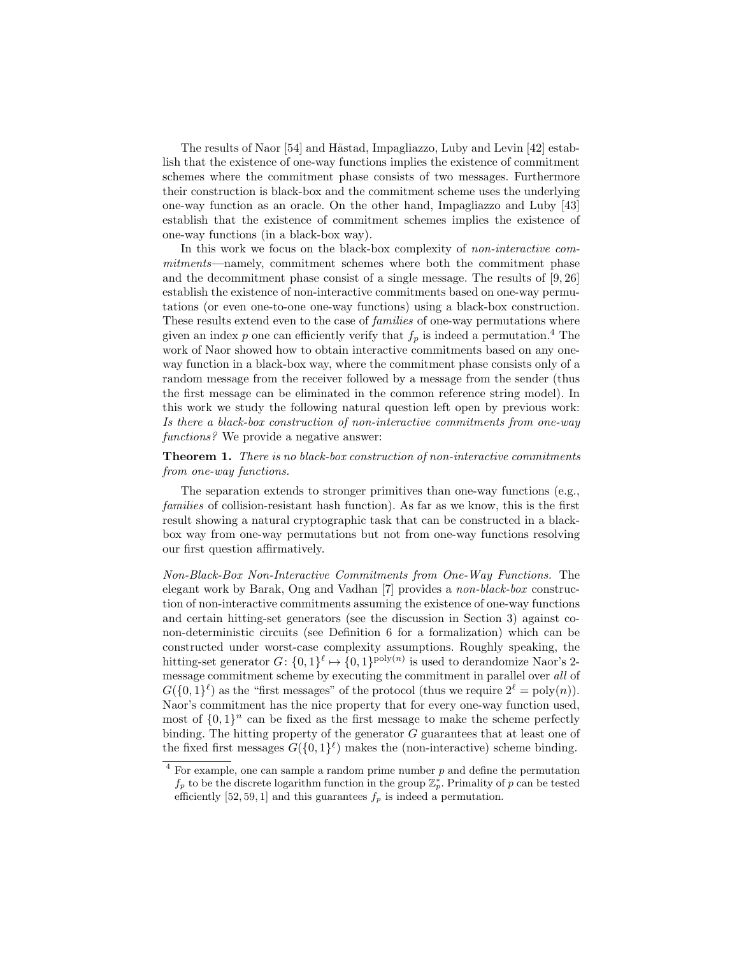The results of Naor [54] and Håstad, Impagliazzo, Luby and Levin [42] establish that the existence of one-way functions implies the existence of commitment schemes where the commitment phase consists of two messages. Furthermore their construction is black-box and the commitment scheme uses the underlying one-way function as an oracle. On the other hand, Impagliazzo and Luby [43] establish that the existence of commitment schemes implies the existence of one-way functions (in a black-box way).

In this work we focus on the black-box complexity of *non-interactive com*mitments—namely, commitment schemes where both the commitment phase and the decommitment phase consist of a single message. The results of [9, 26] establish the existence of non-interactive commitments based on one-way permutations (or even one-to-one one-way functions) using a black-box construction. These results extend even to the case of *families* of one-way permutations where given an index p one can efficiently verify that  $f_p$  is indeed a permutation.<sup>4</sup> The work of Naor showed how to obtain interactive commitments based on any oneway function in a black-box way, where the commitment phase consists only of a random message from the receiver followed by a message from the sender (thus the first message can be eliminated in the common reference string model). In this work we study the following natural question left open by previous work: Is there a black-box construction of non-interactive commitments from one-way functions? We provide a negative answer:

## Theorem 1. There is no black-box construction of non-interactive commitments from one-way functions.

The separation extends to stronger primitives than one-way functions (e.g., families of collision-resistant hash function). As far as we know, this is the first result showing a natural cryptographic task that can be constructed in a blackbox way from one-way permutations but not from one-way functions resolving our first question affirmatively.

Non-Black-Box Non-Interactive Commitments from One-Way Functions. The elegant work by Barak, Ong and Vadhan [7] provides a non-black-box construction of non-interactive commitments assuming the existence of one-way functions and certain hitting-set generators (see the discussion in Section 3) against conon-deterministic circuits (see Definition 6 for a formalization) which can be constructed under worst-case complexity assumptions. Roughly speaking, the hitting-set generator  $G: \{0,1\}^{\ell} \mapsto \{0,1\}^{\text{poly}(n)}$  is used to derandomize Naor's 2message commitment scheme by executing the commitment in parallel over all of  $G({0,1})<sup>\ell</sup>$  as the "first messages" of the protocol (thus we require  $2<sup>\ell</sup> = poly(n)$ ). Naor's commitment has the nice property that for every one-way function used, most of  $\{0,1\}^n$  can be fixed as the first message to make the scheme perfectly binding. The hitting property of the generator G guarantees that at least one of the fixed first messages  $G({0,1})^{\ell}$  makes the (non-interactive) scheme binding.

 $4$  For example, one can sample a random prime number  $p$  and define the permutation  $f_p$  to be the discrete logarithm function in the group  $\mathbb{Z}_p^*$ . Primality of p can be tested efficiently  $[52, 59, 1]$  and this guarantees  $f_p$  is indeed a permutation.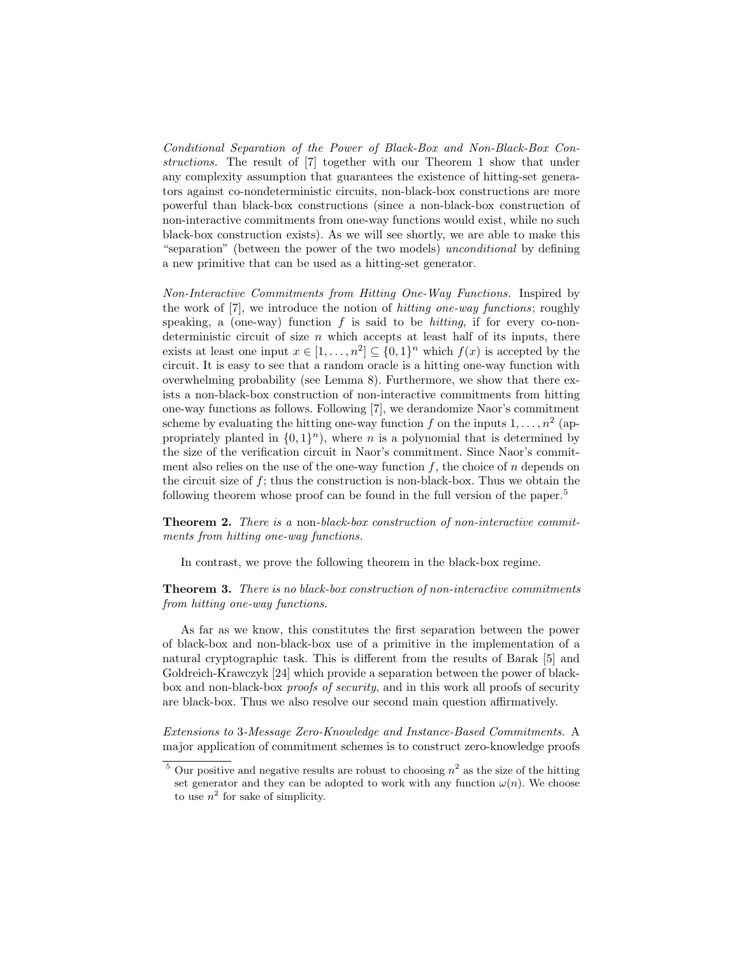Conditional Separation of the Power of Black-Box and Non-Black-Box Constructions. The result of [7] together with our Theorem 1 show that under any complexity assumption that guarantees the existence of hitting-set generators against co-nondeterministic circuits, non-black-box constructions are more powerful than black-box constructions (since a non-black-box construction of non-interactive commitments from one-way functions would exist, while no such black-box construction exists). As we will see shortly, we are able to make this "separation" (between the power of the two models) unconditional by defining a new primitive that can be used as a hitting-set generator.

Non-Interactive Commitments from Hitting One-Way Functions. Inspired by the work of [7], we introduce the notion of hitting one-way functions; roughly speaking, a (one-way) function  $f$  is said to be *hitting*, if for every co-nondeterministic circuit of size n which accepts at least half of its inputs, there exists at least one input  $x \in [1, \ldots, n^2] \subseteq \{0,1\}^n$  which  $f(x)$  is accepted by the circuit. It is easy to see that a random oracle is a hitting one-way function with overwhelming probability (see Lemma 8). Furthermore, we show that there exists a non-black-box construction of non-interactive commitments from hitting one-way functions as follows. Following [7], we derandomize Naor's commitment scheme by evaluating the hitting one-way function f on the inputs  $1, \ldots, n^2$  (appropriately planted in  $\{0,1\}^n$ , where *n* is a polynomial that is determined by the size of the verification circuit in Naor's commitment. Since Naor's commitment also relies on the use of the one-way function  $f$ , the choice of  $n$  depends on the circuit size of  $f$ ; thus the construction is non-black-box. Thus we obtain the following theorem whose proof can be found in the full version of the paper.<sup>5</sup>

**Theorem 2.** There is a non-black-box construction of non-interactive commitments from hitting one-way functions.

In contrast, we prove the following theorem in the black-box regime.

## Theorem 3. There is no black-box construction of non-interactive commitments from hitting one-way functions.

As far as we know, this constitutes the first separation between the power of black-box and non-black-box use of a primitive in the implementation of a natural cryptographic task. This is different from the results of Barak [5] and Goldreich-Krawczyk [24] which provide a separation between the power of blackbox and non-black-box proofs of security, and in this work all proofs of security are black-box. Thus we also resolve our second main question affirmatively.

Extensions to 3-Message Zero-Knowledge and Instance-Based Commitments. A major application of commitment schemes is to construct zero-knowledge proofs

<sup>&</sup>lt;sup>5</sup> Our positive and negative results are robust to choosing  $n^2$  as the size of the hitting set generator and they can be adopted to work with any function  $\omega(n)$ . We choose to use  $n^2$  for sake of simplicity.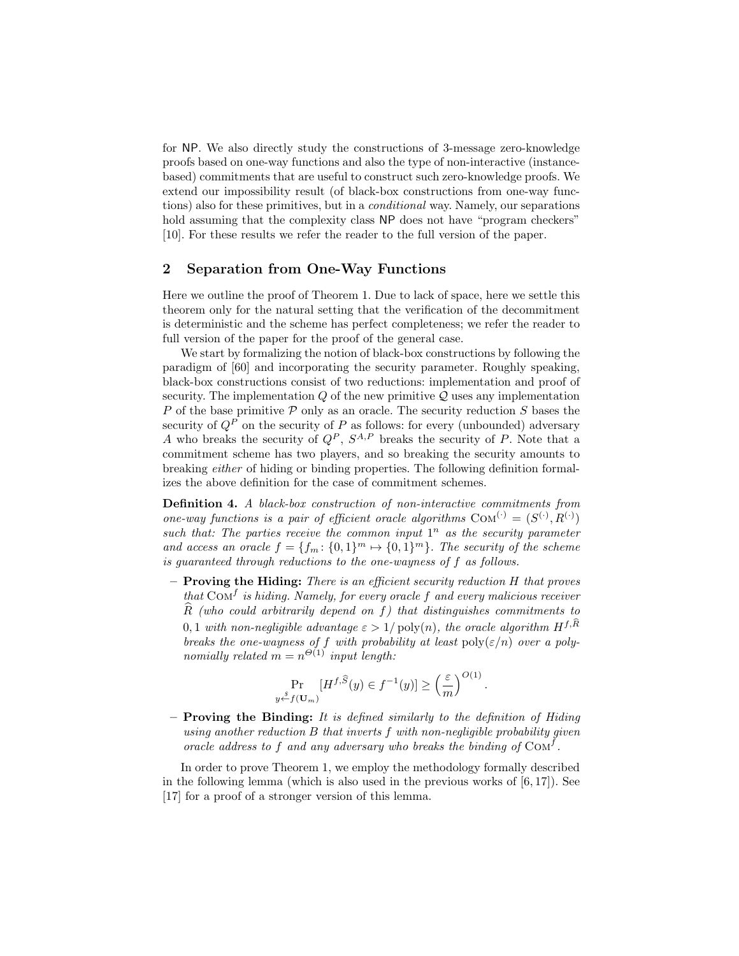for NP. We also directly study the constructions of 3-message zero-knowledge proofs based on one-way functions and also the type of non-interactive (instancebased) commitments that are useful to construct such zero-knowledge proofs. We extend our impossibility result (of black-box constructions from one-way functions) also for these primitives, but in a conditional way. Namely, our separations hold assuming that the complexity class NP does not have "program checkers" [10]. For these results we refer the reader to the full version of the paper.

## 2 Separation from One-Way Functions

Here we outline the proof of Theorem 1. Due to lack of space, here we settle this theorem only for the natural setting that the verification of the decommitment is deterministic and the scheme has perfect completeness; we refer the reader to full version of the paper for the proof of the general case.

We start by formalizing the notion of black-box constructions by following the paradigm of [60] and incorporating the security parameter. Roughly speaking, black-box constructions consist of two reductions: implementation and proof of security. The implementation  $Q$  of the new primitive  $Q$  uses any implementation P of the base primitive  $P$  only as an oracle. The security reduction  $S$  bases the security of  $Q^P$  on the security of P as follows: for every (unbounded) adversary A who breaks the security of  $Q^P$ ,  $S^{A,P}$  breaks the security of P. Note that a commitment scheme has two players, and so breaking the security amounts to breaking either of hiding or binding properties. The following definition formalizes the above definition for the case of commitment schemes.

Definition 4. A black-box construction of non-interactive commitments from one-way functions is a pair of efficient oracle algorithms  $COM^{(\cdot)} = (S^{(\cdot)}, R^{(\cdot)})$ such that: The parties receive the common input  $1^n$  as the security parameter and access an oracle  $f = \{f_m: \{0,1\}^m \mapsto \{0,1\}^m\}$ . The security of the scheme is guaranteed through reductions to the one-wayness of f as follows.

– Proving the Hiding: There is an efficient security reduction H that proves that  $\text{Com}^f$  is hiding. Namely, for every oracle f and every malicious receiver  $\widehat{R}$  (who could arbitrarily depend on f) that distinguishes commitments to 0, 1 with non-negligible advantage  $\varepsilon > 1/\text{poly}(n)$ , the oracle algorithm  $H^{f,\hat{R}}$ breaks the one-wayness of f with probability at least  $\text{poly}(\varepsilon/n)$  over a polynomially related  $m = n^{\Theta(1)}$  input length:

$$
\Pr_{y \stackrel{\delta}{\leftarrow} f(\mathbf{U}_m)} [H^{f,\widehat{S}}(y) \in f^{-1}(y)] \ge \left(\frac{\varepsilon}{m}\right)^{O(1)}.
$$

– Proving the Binding: It is defined similarly to the definition of Hiding using another reduction B that inverts f with non-negligible probability given oracle address to f and any adversary who breaks the binding of  $\text{Com}^f$ .

In order to prove Theorem 1, we employ the methodology formally described in the following lemma (which is also used in the previous works of  $[6, 17]$ ). See [17] for a proof of a stronger version of this lemma.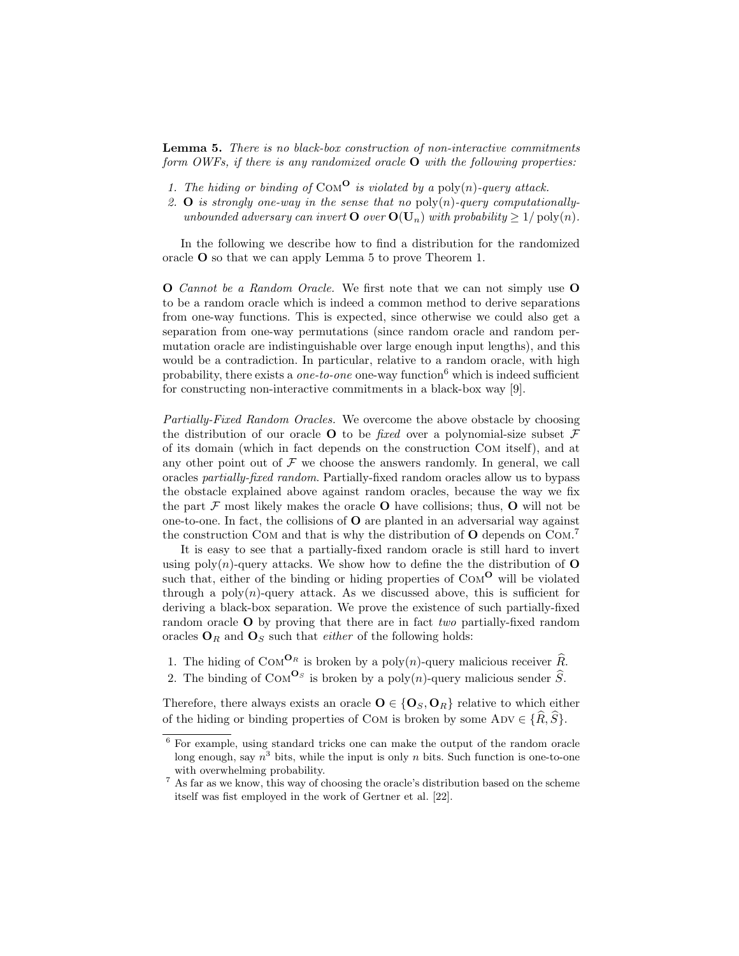Lemma 5. There is no black-box construction of non-interactive commitments form OWFs, if there is any randomized oracle  $O$  with the following properties:

- 1. The hiding or binding of COM<sup>O</sup> is violated by a poly(n)-query attack.
- 2. **O** is strongly one-way in the sense that no  $\text{poly}(n)$ -query computationallyunbounded adversary can invert  $\bf{O}$  over  $\bf{O}(U_n)$  with probability  $\geq 1/\text{poly}(n)$ .

In the following we describe how to find a distribution for the randomized oracle O so that we can apply Lemma 5 to prove Theorem 1.

O Cannot be a Random Oracle. We first note that we can not simply use O to be a random oracle which is indeed a common method to derive separations from one-way functions. This is expected, since otherwise we could also get a separation from one-way permutations (since random oracle and random permutation oracle are indistinguishable over large enough input lengths), and this would be a contradiction. In particular, relative to a random oracle, with high probability, there exists a *one-to-one* one-way function<sup>6</sup> which is indeed sufficient for constructing non-interactive commitments in a black-box way [9].

Partially-Fixed Random Oracles. We overcome the above obstacle by choosing the distribution of our oracle **O** to be *fixed* over a polynomial-size subset  $\mathcal{F}$ of its domain (which in fact depends on the construction Com itself), and at any other point out of  $\mathcal F$  we choose the answers randomly. In general, we call oracles partially-fixed random. Partially-fixed random oracles allow us to bypass the obstacle explained above against random oracles, because the way we fix the part  $\mathcal F$  most likely makes the oracle **O** have collisions; thus, **O** will not be one-to-one. In fact, the collisions of O are planted in an adversarial way against the construction COM and that is why the distribution of  $O$  depends on COM.<sup>7</sup>

It is easy to see that a partially-fixed random oracle is still hard to invert using  $poly(n)$ -query attacks. We show how to define the the distribution of  $O$ such that, either of the binding or hiding properties of  $COM<sup>O</sup>$  will be violated through a poly $(n)$ -query attack. As we discussed above, this is sufficient for deriving a black-box separation. We prove the existence of such partially-fixed random oracle **O** by proving that there are in fact two partially-fixed random oracles  $O_R$  and  $O_S$  such that *either* of the following holds:

- 1. The hiding of  $\text{Com}^{\mathbf{O}_R}$  is broken by a poly $(n)$ -query malicious receiver  $\widehat{R}$ .
- 2. The binding of  $COM^{\mathbf{O}_S}$  is broken by a poly $(n)$ -query malicious sender  $\widehat{S}$ .

Therefore, there always exists an oracle  $O \in \{O_S, O_R\}$  relative to which either of the hiding or binding properties of COM is broken by some ADV  $\in \{R, \widehat{S}\}.$ 

<sup>6</sup> For example, using standard tricks one can make the output of the random oracle long enough, say  $n^3$  bits, while the input is only n bits. Such function is one-to-one with overwhelming probability.

 $7 \text{ As far as we know, this way of choosing the oracle's distribution based on the scheme.}$ itself was fist employed in the work of Gertner et al. [22].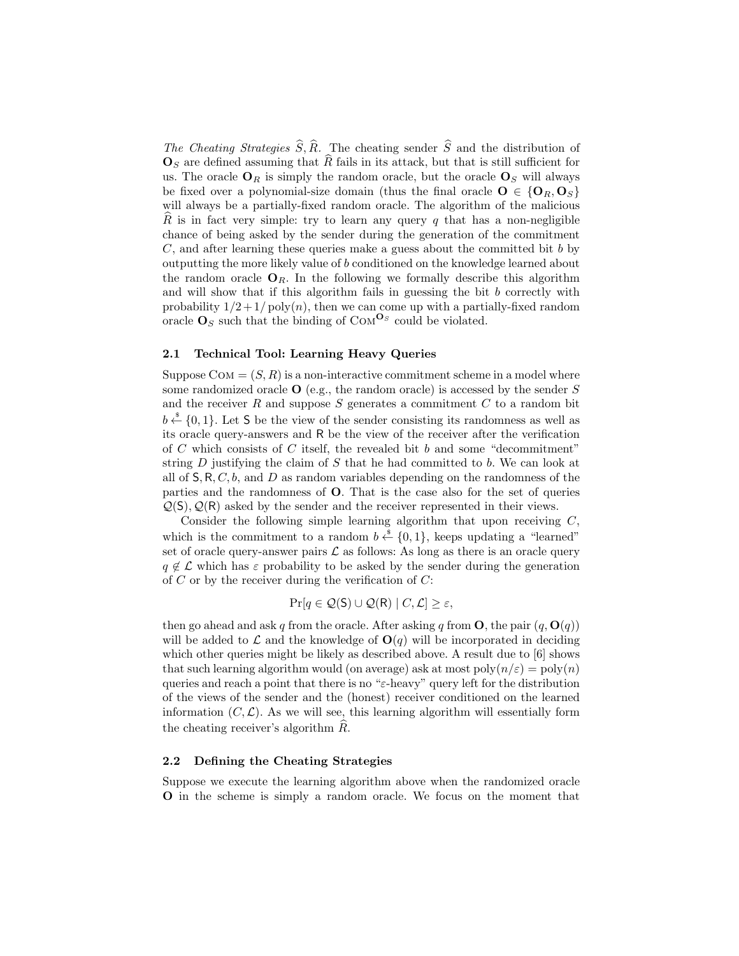The Cheating Strategies  $\widehat{S}, \widehat{R}$ . The cheating sender  $\widehat{S}$  and the distribution of  $\mathbf{O}_S$  are defined assuming that  $\widehat{R}$  fails in its attack, but that is still sufficient for us. The oracle  $O_R$  is simply the random oracle, but the oracle  $O_S$  will always be fixed over a polynomial-size domain (thus the final oracle  $O \in \{O_R, O_S\}$ will always be a partially-fixed random oracle. The algorithm of the malicious R is in fact very simple: try to learn any query q that has a non-negligible chance of being asked by the sender during the generation of the commitment  $C$ , and after learning these queries make a guess about the committed bit  $b$  by outputting the more likely value of b conditioned on the knowledge learned about the random oracle  $O_R$ . In the following we formally describe this algorithm and will show that if this algorithm fails in guessing the bit  $b$  correctly with probability  $1/2 + 1/\text{poly}(n)$ , then we can come up with a partially-fixed random oracle  $\mathbf{O}_S$  such that the binding of COM<sup> $\mathbf{O}_S$ </sup> could be violated.

#### 2.1 Technical Tool: Learning Heavy Queries

Suppose  $COM = (S, R)$  is a non-interactive commitment scheme in a model where some randomized oracle  $\bf{O}$  (e.g., the random oracle) is accessed by the sender S and the receiver  $R$  and suppose  $S$  generates a commitment  $C$  to a random bit  $b \stackrel{\hspace{0.1em}\mathsf{\scriptscriptstyle\$}}{\leftarrow} \{0,1\}$ . Let S be the view of the sender consisting its randomness as well as its oracle query-answers and R be the view of the receiver after the verification of C which consists of C itself, the revealed bit b and some "decommitment" string  $D$  justifying the claim of  $S$  that he had committed to  $b$ . We can look at all of  $S, R, C, b$ , and D as random variables depending on the randomness of the parties and the randomness of O. That is the case also for the set of queries  $\mathcal{Q}(S), \mathcal{Q}(R)$  asked by the sender and the receiver represented in their views.

Consider the following simple learning algorithm that upon receiving  $C$ , which is the commitment to a random  $b \stackrel{\$}{\leftarrow} \{0,1\}$ , keeps updating a "learned" set of oracle query-answer pairs  $\mathcal L$  as follows: As long as there is an oracle query  $q \notin \mathcal{L}$  which has  $\varepsilon$  probability to be asked by the sender during the generation of  $C$  or by the receiver during the verification of  $C$ :

$$
\Pr[q \in \mathcal{Q}(\mathsf{S}) \cup \mathcal{Q}(\mathsf{R}) \mid C, \mathcal{L}] \geq \varepsilon,
$$

then go ahead and ask q from the oracle. After asking q from  $O$ , the pair  $(q, O(q))$ will be added to  $\mathcal L$  and the knowledge of  $O(q)$  will be incorporated in deciding which other queries might be likely as described above. A result due to  $[6]$  shows that such learning algorithm would (on average) ask at most  $\text{poly}(n/\varepsilon) = \text{poly}(n)$ queries and reach a point that there is no " $\varepsilon$ -heavy" query left for the distribution of the views of the sender and the (honest) receiver conditioned on the learned information  $(C, \mathcal{L})$ . As we will see, this learning algorithm will essentially form the cheating receiver's algorithm  $R$ .

#### 2.2 Defining the Cheating Strategies

Suppose we execute the learning algorithm above when the randomized oracle O in the scheme is simply a random oracle. We focus on the moment that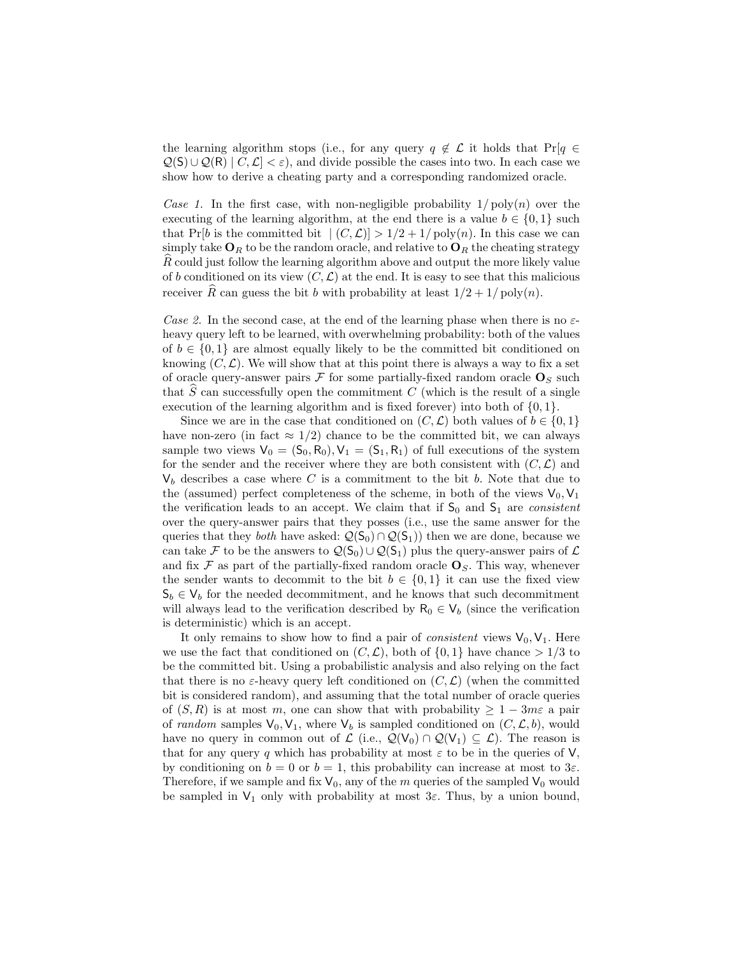the learning algorithm stops (i.e., for any query  $q \notin \mathcal{L}$  it holds that Pr[ $q \in \mathcal{L}$ ]  $Q(S) \cup Q(R) \mid C, \mathcal{L} \mid \leq \varepsilon$ , and divide possible the cases into two. In each case we show how to derive a cheating party and a corresponding randomized oracle.

Case 1. In the first case, with non-negligible probability  $1/\text{poly}(n)$  over the executing of the learning algorithm, at the end there is a value  $b \in \{0,1\}$  such that Pr[b is the committed bit  $|(C, \mathcal{L})| > 1/2 + 1/\text{poly}(n)$ . In this case we can simply take  $\mathbf{O}_R$  to be the random oracle, and relative to  $\mathbf{O}_R$  the cheating strategy R could just follow the learning algorithm above and output the more likely value of b conditioned on its view  $(C, \mathcal{L})$  at the end. It is easy to see that this malicious receiver  $\widehat{R}$  can guess the bit b with probability at least  $1/2 + 1/\text{poly}(n)$ .

Case 2. In the second case, at the end of the learning phase when there is no  $\varepsilon$ heavy query left to be learned, with overwhelming probability: both of the values of  $b \in \{0,1\}$  are almost equally likely to be the committed bit conditioned on knowing  $(C, \mathcal{L})$ . We will show that at this point there is always a way to fix a set of oracle query-answer pairs  $\mathcal F$  for some partially-fixed random oracle  $O_S$  such that  $\widehat{S}$  can successfully open the commitment C (which is the result of a single execution of the learning algorithm and is fixed forever) into both of  $\{0, 1\}$ .

Since we are in the case that conditioned on  $(C, \mathcal{L})$  both values of  $b \in \{0, 1\}$ have non-zero (in fact  $\approx 1/2$ ) chance to be the committed bit, we can always sample two views  $V_0 = (S_0, R_0), V_1 = (S_1, R_1)$  of full executions of the system for the sender and the receiver where they are both consistent with  $(C, \mathcal{L})$  and  $V_b$  describes a case where C is a commitment to the bit b. Note that due to the (assumed) perfect completeness of the scheme, in both of the views  $V_0, V_1$ the verification leads to an accept. We claim that if  $S_0$  and  $S_1$  are *consistent* over the query-answer pairs that they posses (i.e., use the same answer for the queries that they *both* have asked:  $Q(S_0) \cap Q(S_1)$  then we are done, because we can take F to be the answers to  $\mathcal{Q}(S_0) \cup \mathcal{Q}(S_1)$  plus the query-answer pairs of  $\mathcal L$ and fix  $\mathcal F$  as part of the partially-fixed random oracle  $\mathbf O_S$ . This way, whenever the sender wants to decommit to the bit  $b \in \{0,1\}$  it can use the fixed view  $S_b \in V_b$  for the needed decommitment, and he knows that such decommitment will always lead to the verification described by  $R_0 \in V_b$  (since the verification is deterministic) which is an accept.

It only remains to show how to find a pair of *consistent* views  $V_0$ ,  $V_1$ . Here we use the fact that conditioned on  $(C, \mathcal{L})$ , both of  $\{0, 1\}$  have chance  $> 1/3$  to be the committed bit. Using a probabilistic analysis and also relying on the fact that there is no  $\varepsilon$ -heavy query left conditioned on  $(C, \mathcal{L})$  (when the committed bit is considered random), and assuming that the total number of oracle queries of  $(S, R)$  is at most m, one can show that with probability  $\geq 1 - 3m\varepsilon$  a pair of random samples  $V_0$ ,  $V_1$ , where  $V_b$  is sampled conditioned on  $(C, \mathcal{L}, b)$ , would have no query in common out of  $\mathcal{L}$  (i.e.,  $\mathcal{Q}(V_0) \cap \mathcal{Q}(V_1) \subseteq \mathcal{L}$ ). The reason is that for any query q which has probability at most  $\varepsilon$  to be in the queries of V, by conditioning on  $b = 0$  or  $b = 1$ , this probability can increase at most to  $3\varepsilon$ . Therefore, if we sample and fix  $V_0$ , any of the m queries of the sampled  $V_0$  would be sampled in  $V_1$  only with probability at most  $3\varepsilon$ . Thus, by a union bound,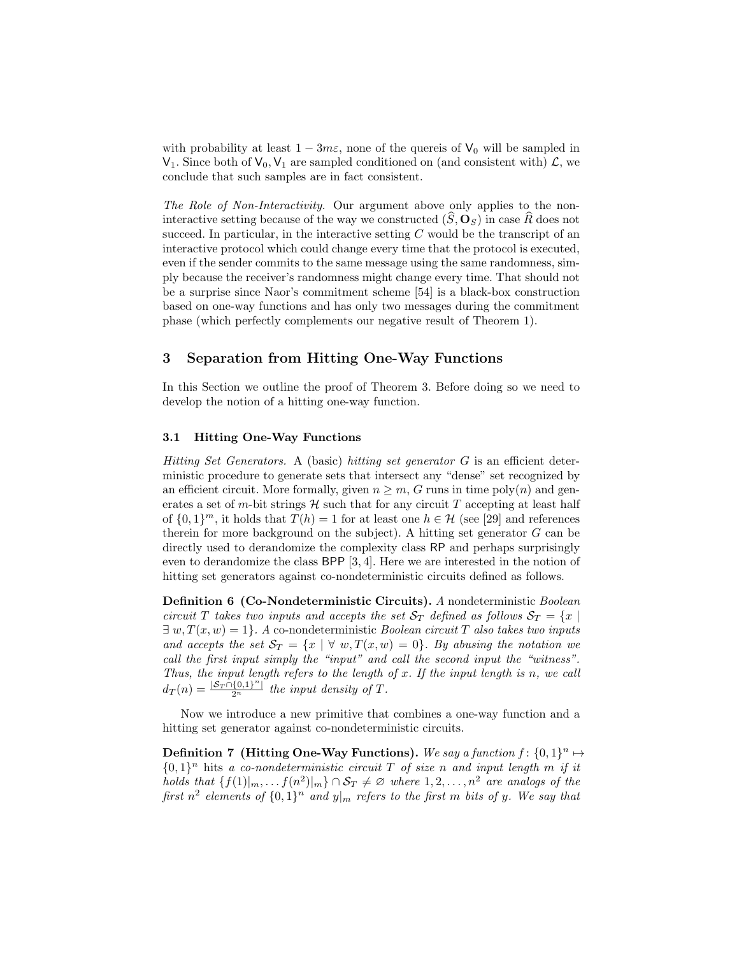with probability at least  $1 - 3m\varepsilon$ , none of the quereis of  $V_0$  will be sampled in  $V_1$ . Since both of  $V_0$ ,  $V_1$  are sampled conditioned on (and consistent with)  $\mathcal{L}$ , we conclude that such samples are in fact consistent.

The Role of Non-Interactivity. Our argument above only applies to the noninteractive setting because of the way we constructed  $(S, \mathbf{O}_S)$  in case R does not succeed. In particular, in the interactive setting  $C$  would be the transcript of an interactive protocol which could change every time that the protocol is executed, even if the sender commits to the same message using the same randomness, simply because the receiver's randomness might change every time. That should not be a surprise since Naor's commitment scheme [54] is a black-box construction based on one-way functions and has only two messages during the commitment phase (which perfectly complements our negative result of Theorem 1).

# 3 Separation from Hitting One-Way Functions

In this Section we outline the proof of Theorem 3. Before doing so we need to develop the notion of a hitting one-way function.

## 3.1 Hitting One-Way Functions

Hitting Set Generators. A (basic) hitting set generator G is an efficient deterministic procedure to generate sets that intersect any "dense" set recognized by an efficient circuit. More formally, given  $n \geq m$ , G runs in time poly $(n)$  and generates a set of m-bit strings  $H$  such that for any circuit  $T$  accepting at least half of  $\{0,1\}^m$ , it holds that  $T(h) = 1$  for at least one  $h \in \mathcal{H}$  (see [29] and references therein for more background on the subject). A hitting set generator  $G$  can be directly used to derandomize the complexity class RP and perhaps surprisingly even to derandomize the class BPP [3, 4]. Here we are interested in the notion of hitting set generators against co-nondeterministic circuits defined as follows.

Definition 6 (Co-Nondeterministic Circuits). A nondeterministic Boolean circuit T takes two inputs and accepts the set  $S_T$  defined as follows  $S_T = \{x \mid$  $\exists w, T(x, w) = 1$ . A co-nondeterministic *Boolean circuit* T also takes two inputs and accepts the set  $S_T = \{x \mid \forall w, T(x, w) = 0\}$ . By abusing the notation we call the first input simply the "input" and call the second input the "witness". Thus, the input length refers to the length of  $x$ . If the input length is  $n$ , we call  $d_T(n) = \frac{|S_T \cap \{0,1\}^n|}{2^n}$  the input density of T.

Now we introduce a new primitive that combines a one-way function and a hitting set generator against co-nondeterministic circuits.

Definition 7 (Hitting One-Way Functions). We say a function  $f: \{0,1\}^n \mapsto$  ${0,1}^n$  hits a co-nondeterministic circuit T of size n and input length m if it holds that  $\{f(1)|_m, \ldots, f(n^2)|_m\} \cap \mathcal{S}_T \neq \emptyset$  where  $1, 2, \ldots, n^2$  are analogs of the first  $n^2$  elements of  $\{0,1\}^n$  and  $y|_m$  refers to the first m bits of y. We say that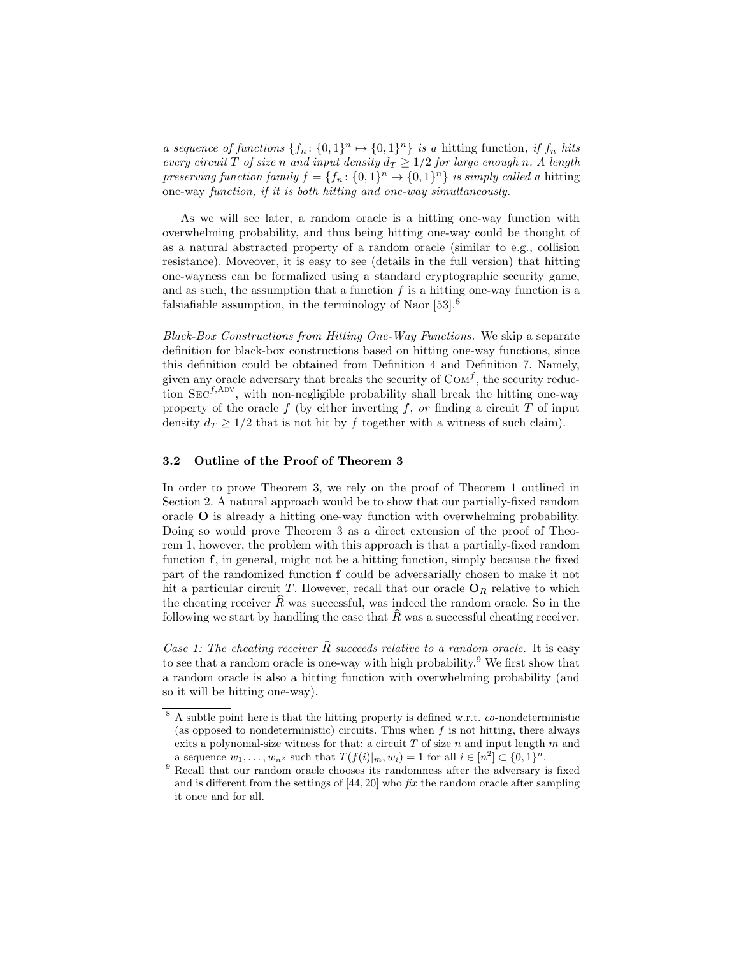a sequence of functions  $\{f_n: \{0,1\}^n \mapsto \{0,1\}^n\}$  is a hitting function, if  $f_n$  hits every circuit T of size n and input density  $d_T \geq 1/2$  for large enough n. A length preserving function family  $f = \{f_n: \{0,1\}^n \mapsto \{0,1\}^n\}$  is simply called a hitting one-way function, if it is both hitting and one-way simultaneously.

As we will see later, a random oracle is a hitting one-way function with overwhelming probability, and thus being hitting one-way could be thought of as a natural abstracted property of a random oracle (similar to e.g., collision resistance). Moveover, it is easy to see (details in the full version) that hitting one-wayness can be formalized using a standard cryptographic security game, and as such, the assumption that a function  $f$  is a hitting one-way function is a falsiafiable assumption, in the terminology of Naor [53].<sup>8</sup>

Black-Box Constructions from Hitting One-Way Functions. We skip a separate definition for black-box constructions based on hitting one-way functions, since this definition could be obtained from Definition 4 and Definition 7. Namely, given any oracle adversary that breaks the security of  $COM<sup>f</sup>$ , the security reduction  $\text{Sec}^{f, \text{Adv}}$ , with non-negligible probability shall break the hitting one-way property of the oracle f (by either inverting f, or finding a circuit  $T$  of input density  $d_T \geq 1/2$  that is not hit by f together with a witness of such claim).

#### 3.2 Outline of the Proof of Theorem 3

In order to prove Theorem 3, we rely on the proof of Theorem 1 outlined in Section 2. A natural approach would be to show that our partially-fixed random oracle O is already a hitting one-way function with overwhelming probability. Doing so would prove Theorem 3 as a direct extension of the proof of Theorem 1, however, the problem with this approach is that a partially-fixed random function f, in general, might not be a hitting function, simply because the fixed part of the randomized function f could be adversarially chosen to make it not hit a particular circuit T. However, recall that our oracle  $O_R$  relative to which the cheating receiver  $\widehat{R}$  was successful, was indeed the random oracle. So in the following we start by handling the case that  $\widehat{R}$  was a successful cheating receiver.

Case 1: The cheating receiver  $\widehat{R}$  succeeds relative to a random oracle. It is easy to see that a random oracle is one-way with high probability.<sup>9</sup> We first show that a random oracle is also a hitting function with overwhelming probability (and so it will be hitting one-way).

 $8 \text{ A subtle point here is that the hitting property is defined w.r.t. co-nondeterministic }$ (as opposed to nondeterministic) circuits. Thus when  $f$  is not hitting, there always exits a polynomal-size witness for that: a circuit  $T$  of size  $n$  and input length  $m$  and a sequence  $w_1, ..., w_{n^2}$  such that  $T(f(i)|_m, w_i) = 1$  for all  $i \in [n^2] \subset \{0, 1\}^n$ .

 $9$  Recall that our random oracle chooses its randomness after the adversary is fixed and is different from the settings of  $[44, 20]$  who fix the random oracle after sampling it once and for all.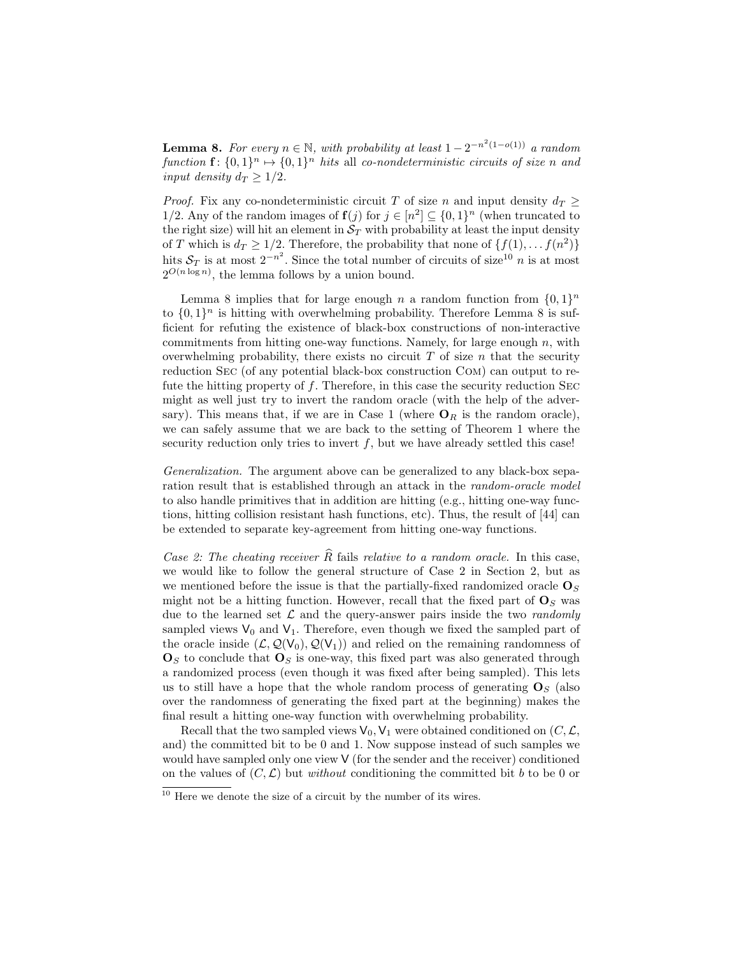**Lemma 8.** For every  $n \in \mathbb{N}$ , with probability at least  $1 - 2^{-n^2(1 - o(1))}$  a random function  $\mathbf{f}: \{0,1\}^n \mapsto \{0,1\}^n$  hits all co-nondeterministic circuits of size n and input density  $d_T \geq 1/2$ .

*Proof.* Fix any co-nondeterministic circuit T of size n and input density  $d_T$  > 1/2. Any of the random images of  $f(j)$  for  $j \in [n^2] \subseteq \{0,1\}^n$  (when truncated to the right size) will hit an element in  $S_T$  with probability at least the input density of T which is  $d_T \geq 1/2$ . Therefore, the probability that none of  $\{f(1), \ldots, f(n^2)\}\$ hits  $S_T$  is at most  $2^{-n^2}$ . Since the total number of circuits of size<sup>10</sup> n is at most  $2^{O(n \log n)}$ , the lemma follows by a union bound.

Lemma 8 implies that for large enough n a random function from  $\{0,1\}^n$ to  $\{0,1\}^n$  is hitting with overwhelming probability. Therefore Lemma 8 is sufficient for refuting the existence of black-box constructions of non-interactive commitments from hitting one-way functions. Namely, for large enough  $n$ , with overwhelming probability, there exists no circuit  $T$  of size  $n$  that the security reduction Sec (of any potential black-box construction Com) can output to refute the hitting property of  $f$ . Therefore, in this case the security reduction SEC might as well just try to invert the random oracle (with the help of the adversary). This means that, if we are in Case 1 (where  $O_R$  is the random oracle), we can safely assume that we are back to the setting of Theorem 1 where the security reduction only tries to invert  $f$ , but we have already settled this case!

Generalization. The argument above can be generalized to any black-box separation result that is established through an attack in the *random-oracle model* to also handle primitives that in addition are hitting (e.g., hitting one-way functions, hitting collision resistant hash functions, etc). Thus, the result of [44] can be extended to separate key-agreement from hitting one-way functions.

Case 2: The cheating receiver  $\widehat{R}$  fails relative to a random oracle. In this case, we would like to follow the general structure of Case 2 in Section 2, but as we mentioned before the issue is that the partially-fixed randomized oracle  $\mathbf{O}_S$ might not be a hitting function. However, recall that the fixed part of  $\mathbf{O}_S$  was due to the learned set  $\mathcal L$  and the query-answer pairs inside the two randomly sampled views  $V_0$  and  $V_1$ . Therefore, even though we fixed the sampled part of the oracle inside  $(\mathcal{L}, \mathcal{Q}(\mathsf{V}_0), \mathcal{Q}(\mathsf{V}_1))$  and relied on the remaining randomness of  $\mathbf{O}_S$  to conclude that  $\mathbf{O}_S$  is one-way, this fixed part was also generated through a randomized process (even though it was fixed after being sampled). This lets us to still have a hope that the whole random process of generating  $\mathbf{O}_S$  (also over the randomness of generating the fixed part at the beginning) makes the final result a hitting one-way function with overwhelming probability.

Recall that the two sampled views  $V_0$ ,  $V_1$  were obtained conditioned on  $(C, \mathcal{L},$ and) the committed bit to be 0 and 1. Now suppose instead of such samples we would have sampled only one view V (for the sender and the receiver) conditioned on the values of  $(C, \mathcal{L})$  but *without* conditioning the committed bit b to be 0 or

 $10$  Here we denote the size of a circuit by the number of its wires.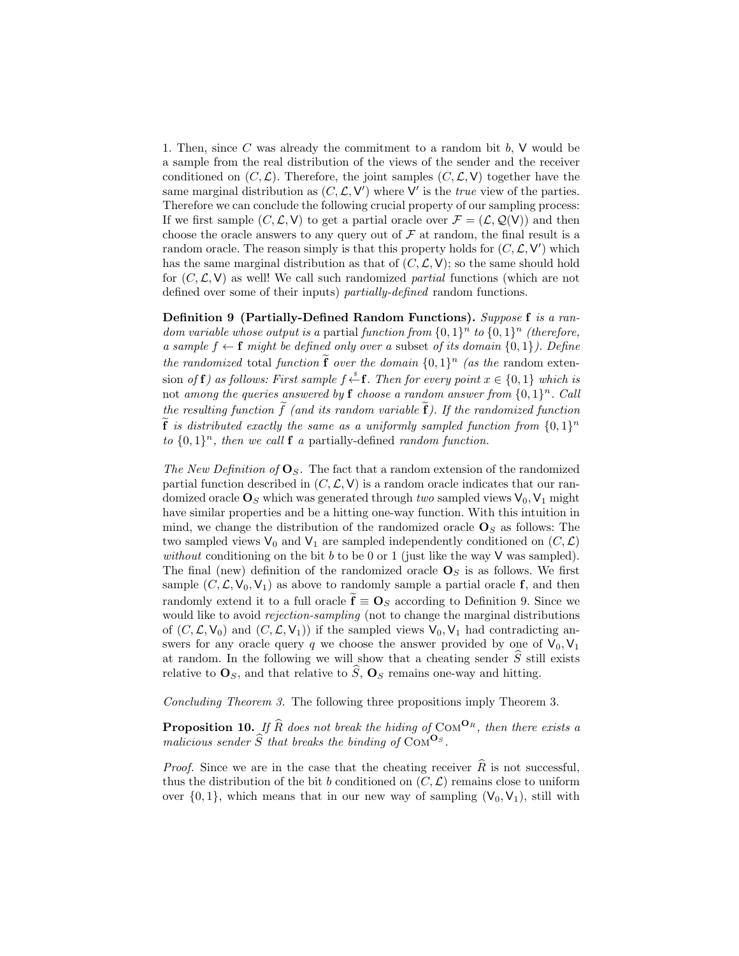1. Then, since  $C$  was already the commitment to a random bit  $b$ ,  $V$  would be a sample from the real distribution of the views of the sender and the receiver conditioned on  $(C, \mathcal{L})$ . Therefore, the joint samples  $(C, \mathcal{L}, V)$  together have the same marginal distribution as  $(C, \mathcal{L}, V')$  where V' is the *true* view of the parties. Therefore we can conclude the following crucial property of our sampling process: If we first sample  $(C, \mathcal{L}, V)$  to get a partial oracle over  $\mathcal{F} = (\mathcal{L}, \mathcal{Q}(V))$  and then choose the oracle answers to any query out of  $\mathcal F$  at random, the final result is a random oracle. The reason simply is that this property holds for  $(C, \mathcal{L}, V')$  which has the same marginal distribution as that of  $(C, \mathcal{L}, V)$ ; so the same should hold for  $(C, \mathcal{L}, V)$  as well! We call such randomized partial functions (which are not defined over some of their inputs) *partially-defined* random functions.

Definition 9 (Partially-Defined Random Functions). Suppose f is a random variable whose output is a partial function from  $\{0,1\}^n$  to  $\{0,1\}^n$  (therefore, a sample  $f \leftarrow f$  might be defined only over a subset of its domain  $\{0, 1\}$ ). Define the randomized total function  $\tilde{\mathbf{f}}$  over the domain  $\{0,1\}^n$  (as the random extension of **f**) as follows: First sample  $f \stackrel{s}{\leftarrow} \mathbf{f}$ . Then for every point  $x \in \{0,1\}$  which is not among the queries answered by  $f$  choose a random answer from  $\{0,1\}^n$ . Call the resulting function  $\tilde{f}$  (and its random variable  $\tilde{f}$ ). If the randomized function  $\tilde{f}$  is distributed exactly the same as a uniformly sampled function from  $\{0,1\}^n$ to  $\{0,1\}^n$ , then we call **f** a partially-defined random function.

The New Definition of  $\mathbf{O}_S$ . The fact that a random extension of the randomized partial function described in  $(C, \mathcal{L}, V)$  is a random oracle indicates that our randomized oracle  $\mathbf{O}_S$  which was generated through two sampled views  $V_0$ ,  $V_1$  might have similar properties and be a hitting one-way function. With this intuition in mind, we change the distribution of the randomized oracle  $\mathbf{O}_S$  as follows: The two sampled views  $V_0$  and  $V_1$  are sampled independently conditioned on  $(C, \mathcal{L})$ without conditioning on the bit  $b$  to be 0 or 1 (just like the way  $V$  was sampled). The final (new) definition of the randomized oracle  $\mathbf{O}_S$  is as follows. We first sample  $(C, \mathcal{L}, V_0, V_1)$  as above to randomly sample a partial oracle f, and then randomly extend it to a full oracle  $\mathbf{f} \equiv \mathbf{O}_S$  according to Definition 9. Since we would like to avoid *rejection-sampling* (not to change the marginal distributions of  $(C, \mathcal{L}, V_0)$  and  $(C, \mathcal{L}, V_1)$  if the sampled views  $V_0, V_1$  had contradicting answers for any oracle query q we choose the answer provided by one of  $V_0$ ,  $V_1$ at random. In the following we will show that a cheating sender  $\hat{S}$  still exists relative to  $\mathbf{O}_S$ , and that relative to  $\widetilde{S}, \mathbf{O}_S$  remains one-way and hitting.

Concluding Theorem 3. The following three propositions imply Theorem 3.

**Proposition 10.** If  $\widehat{R}$  does not break the hiding of COM<sup>O<sub>R</sub>, then there exists a</sup> malicious sender  $\widehat{S}$  that breaks the binding of COM<sup>O</sup>S.

*Proof.* Since we are in the case that the cheating receiver  $\hat{R}$  is not successful, thus the distribution of the bit b conditioned on  $(C, \mathcal{L})$  remains close to uniform over  $\{0, 1\}$ , which means that in our new way of sampling  $(V_0, V_1)$ , still with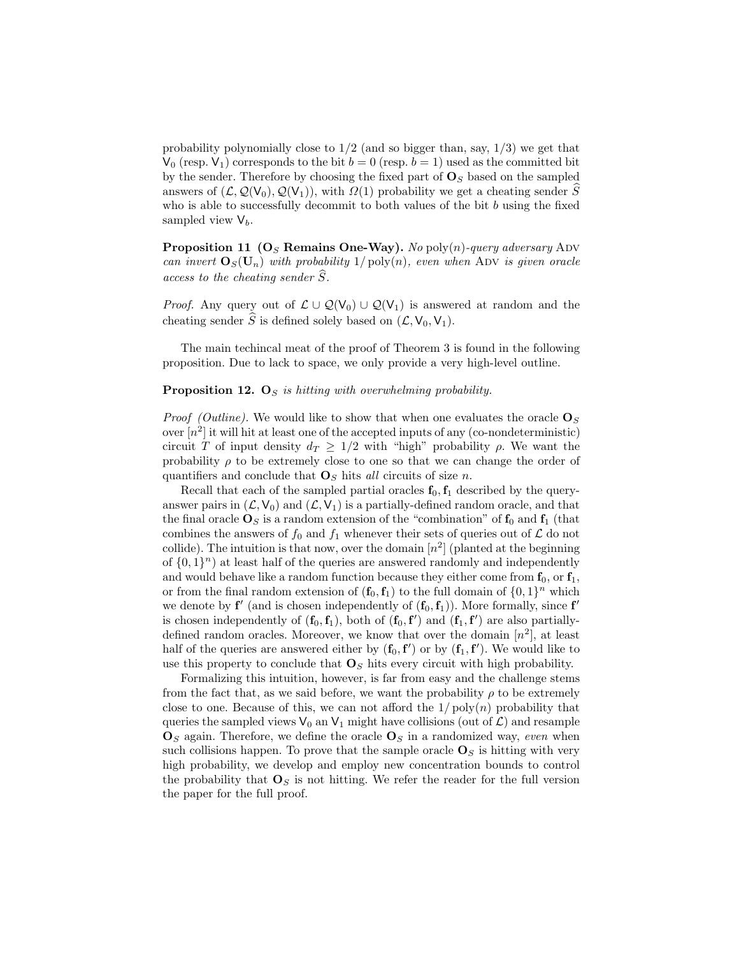probability polynomially close to  $1/2$  (and so bigger than, say,  $1/3$ ) we get that  $V_0$  (resp.  $V_1$ ) corresponds to the bit  $b = 0$  (resp.  $b = 1$ ) used as the committed bit by the sender. Therefore by choosing the fixed part of  $\mathbf{O}_S$  based on the sampled answers of  $(\mathcal{L}, \mathcal{Q}(\mathsf{V}_0), \mathcal{Q}(\mathsf{V}_1))$ , with  $\Omega(1)$  probability we get a cheating sender  $\tilde{S}$ who is able to successfully decommit to both values of the bit  $b$  using the fixed sampled view  $V_b$ .

**Proposition 11 (O<sub>S</sub> Remains One-Way).** No poly $(n)$ -query adversary ADV can invert  $\mathbf{O}_S(\mathbf{U}_n)$  with probability  $1/\text{poly}(n)$ , even when ADV is given oracle access to the cheating sender  $\widehat{S}$ .

*Proof.* Any query out of  $\mathcal{L} \cup \mathcal{Q}(\mathsf{V}_0) \cup \mathcal{Q}(\mathsf{V}_1)$  is answered at random and the cheating sender  $\hat{S}$  is defined solely based on  $(\mathcal{L}, V_0, V_1)$ .

The main techincal meat of the proof of Theorem 3 is found in the following proposition. Due to lack to space, we only provide a very high-level outline.

#### **Proposition 12.**  $\mathbf{O}_S$  is hitting with overwhelming probability.

*Proof (Outline)*. We would like to show that when one evaluates the oracle  $\mathbf{O}_S$ over  $[n^2]$  it will hit at least one of the accepted inputs of any (co-nondeterministic) circuit T of input density  $d_T \geq 1/2$  with "high" probability  $\rho$ . We want the probability  $\rho$  to be extremely close to one so that we can change the order of quantifiers and conclude that  $\mathbf{O}_S$  hits all circuits of size n.

Recall that each of the sampled partial oracles  $f_0, f_1$  described by the queryanswer pairs in  $(\mathcal{L}, V_0)$  and  $(\mathcal{L}, V_1)$  is a partially-defined random oracle, and that the final oracle  $\mathbf{O}_S$  is a random extension of the "combination" of  $\mathbf{f}_0$  and  $\mathbf{f}_1$  (that combines the answers of  $f_0$  and  $f_1$  whenever their sets of queries out of  $\mathcal L$  do not collide). The intuition is that now, over the domain  $[n^2]$  (planted at the beginning of  $\{0,1\}$ <sup>n</sup>) at least half of the queries are answered randomly and independently and would behave like a random function because they either come from  $f_0$ , or  $f_1$ , or from the final random extension of  $(f_0, f_1)$  to the full domain of  $\{0, 1\}^n$  which we denote by  $f'$  (and is chosen independently of  $(f_0, f_1)$ ). More formally, since  $f'$ is chosen independently of  $(f_0, f_1)$ , both of  $(f_0, f')$  and  $(f_1, f')$  are also partiallydefined random oracles. Moreover, we know that over the domain  $[n^2]$ , at least half of the queries are answered either by  $(f_0, f')$  or by  $(f_1, f')$ . We would like to use this property to conclude that  $\mathbf{O}_S$  hits every circuit with high probability.

Formalizing this intuition, however, is far from easy and the challenge stems from the fact that, as we said before, we want the probability  $\rho$  to be extremely close to one. Because of this, we can not afford the  $1/poly(n)$  probability that queries the sampled views  $V_0$  an  $V_1$  might have collisions (out of  $\mathcal{L}$ ) and resample  $\mathbf{O}_S$  again. Therefore, we define the oracle  $\mathbf{O}_S$  in a randomized way, even when such collisions happen. To prove that the sample oracle  $\mathbf{O}_S$  is hitting with very high probability, we develop and employ new concentration bounds to control the probability that  $\mathbf{O}_S$  is not hitting. We refer the reader for the full version the paper for the full proof.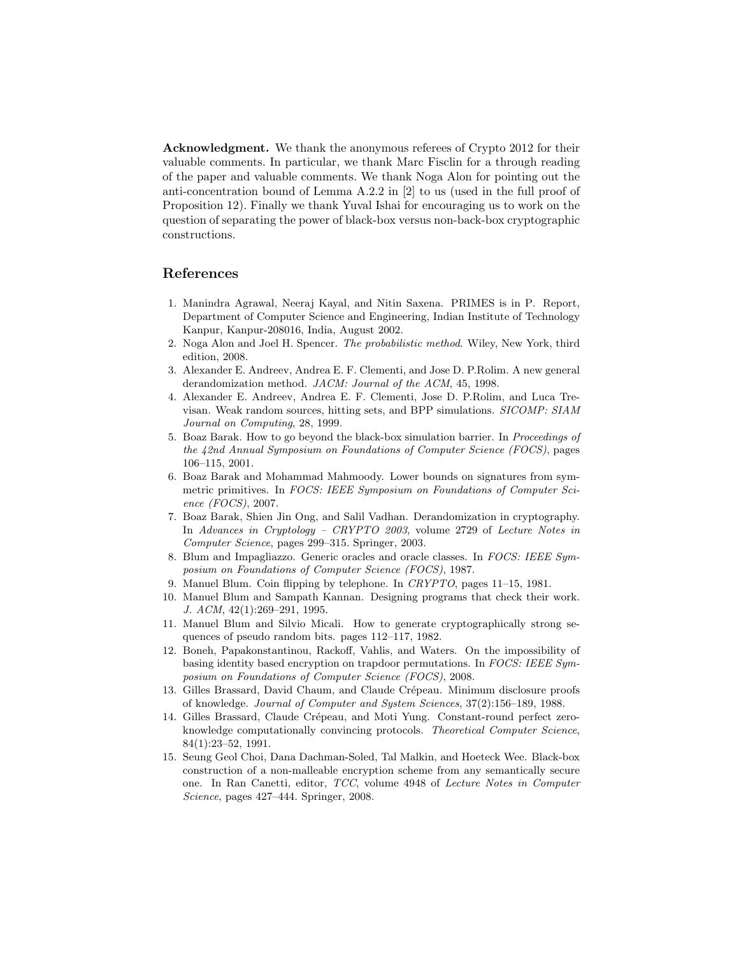Acknowledgment. We thank the anonymous referees of Crypto 2012 for their valuable comments. In particular, we thank Marc Fisclin for a through reading of the paper and valuable comments. We thank Noga Alon for pointing out the anti-concentration bound of Lemma A.2.2 in [2] to us (used in the full proof of Proposition 12). Finally we thank Yuval Ishai for encouraging us to work on the question of separating the power of black-box versus non-back-box cryptographic constructions.

## References

- 1. Manindra Agrawal, Neeraj Kayal, and Nitin Saxena. PRIMES is in P. Report, Department of Computer Science and Engineering, Indian Institute of Technology Kanpur, Kanpur-208016, India, August 2002.
- 2. Noga Alon and Joel H. Spencer. The probabilistic method. Wiley, New York, third edition, 2008.
- 3. Alexander E. Andreev, Andrea E. F. Clementi, and Jose D. P.Rolim. A new general derandomization method. JACM: Journal of the ACM, 45, 1998.
- 4. Alexander E. Andreev, Andrea E. F. Clementi, Jose D. P.Rolim, and Luca Trevisan. Weak random sources, hitting sets, and BPP simulations. SICOMP: SIAM Journal on Computing, 28, 1999.
- 5. Boaz Barak. How to go beyond the black-box simulation barrier. In Proceedings of the 42nd Annual Symposium on Foundations of Computer Science (FOCS), pages 106–115, 2001.
- 6. Boaz Barak and Mohammad Mahmoody. Lower bounds on signatures from symmetric primitives. In FOCS: IEEE Symposium on Foundations of Computer Science (FOCS), 2007.
- 7. Boaz Barak, Shien Jin Ong, and Salil Vadhan. Derandomization in cryptography. In Advances in Cryptology – CRYPTO 2003, volume 2729 of Lecture Notes in Computer Science, pages 299–315. Springer, 2003.
- 8. Blum and Impagliazzo. Generic oracles and oracle classes. In FOCS: IEEE Symposium on Foundations of Computer Science (FOCS), 1987.
- 9. Manuel Blum. Coin flipping by telephone. In CRYPTO, pages 11–15, 1981.
- 10. Manuel Blum and Sampath Kannan. Designing programs that check their work. J. ACM, 42(1):269–291, 1995.
- 11. Manuel Blum and Silvio Micali. How to generate cryptographically strong sequences of pseudo random bits. pages 112–117, 1982.
- 12. Boneh, Papakonstantinou, Rackoff, Vahlis, and Waters. On the impossibility of basing identity based encryption on trapdoor permutations. In FOCS: IEEE Symposium on Foundations of Computer Science (FOCS), 2008.
- 13. Gilles Brassard, David Chaum, and Claude Crépeau. Minimum disclosure proofs of knowledge. Journal of Computer and System Sciences, 37(2):156–189, 1988.
- 14. Gilles Brassard, Claude Crépeau, and Moti Yung. Constant-round perfect zeroknowledge computationally convincing protocols. Theoretical Computer Science, 84(1):23–52, 1991.
- 15. Seung Geol Choi, Dana Dachman-Soled, Tal Malkin, and Hoeteck Wee. Black-box construction of a non-malleable encryption scheme from any semantically secure one. In Ran Canetti, editor, TCC, volume 4948 of Lecture Notes in Computer Science, pages 427–444. Springer, 2008.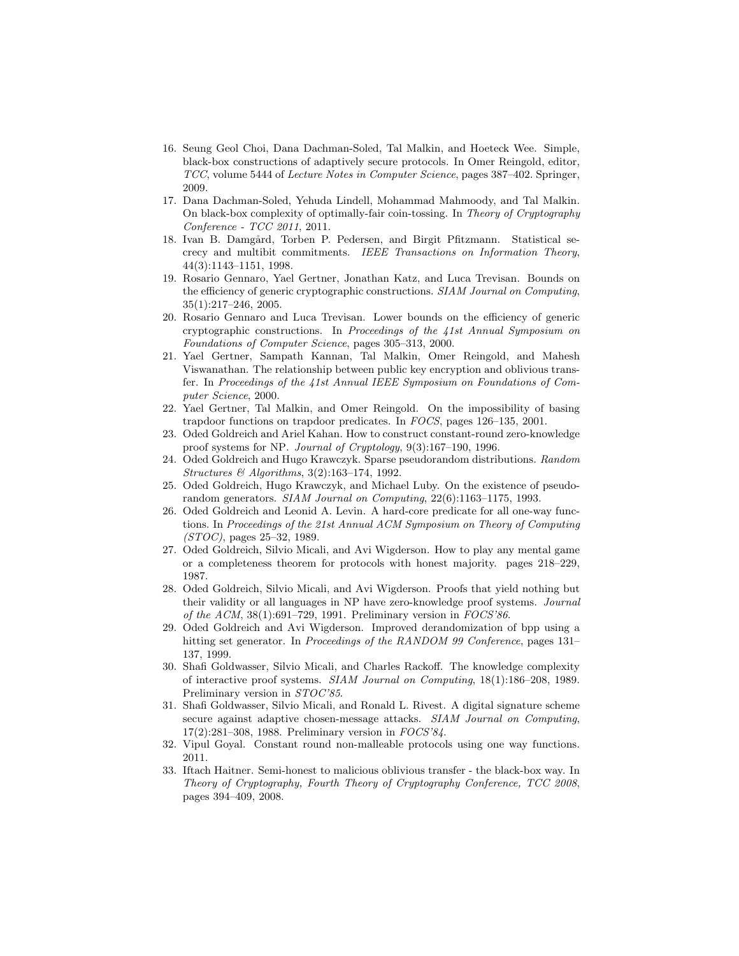- 16. Seung Geol Choi, Dana Dachman-Soled, Tal Malkin, and Hoeteck Wee. Simple, black-box constructions of adaptively secure protocols. In Omer Reingold, editor, TCC, volume 5444 of Lecture Notes in Computer Science, pages 387–402. Springer, 2009.
- 17. Dana Dachman-Soled, Yehuda Lindell, Mohammad Mahmoody, and Tal Malkin. On black-box complexity of optimally-fair coin-tossing. In Theory of Cryptography Conference - TCC 2011, 2011.
- 18. Ivan B. Damgård, Torben P. Pedersen, and Birgit Pfitzmann. Statistical secrecy and multibit commitments. IEEE Transactions on Information Theory, 44(3):1143–1151, 1998.
- 19. Rosario Gennaro, Yael Gertner, Jonathan Katz, and Luca Trevisan. Bounds on the efficiency of generic cryptographic constructions. SIAM Journal on Computing, 35(1):217–246, 2005.
- 20. Rosario Gennaro and Luca Trevisan. Lower bounds on the efficiency of generic cryptographic constructions. In Proceedings of the 41st Annual Symposium on Foundations of Computer Science, pages 305–313, 2000.
- 21. Yael Gertner, Sampath Kannan, Tal Malkin, Omer Reingold, and Mahesh Viswanathan. The relationship between public key encryption and oblivious transfer. In Proceedings of the 41st Annual IEEE Symposium on Foundations of Computer Science, 2000.
- 22. Yael Gertner, Tal Malkin, and Omer Reingold. On the impossibility of basing trapdoor functions on trapdoor predicates. In FOCS, pages 126–135, 2001.
- 23. Oded Goldreich and Ariel Kahan. How to construct constant-round zero-knowledge proof systems for NP. Journal of Cryptology, 9(3):167–190, 1996.
- 24. Oded Goldreich and Hugo Krawczyk. Sparse pseudorandom distributions. Random Structures & Algorithms, 3(2):163–174, 1992.
- 25. Oded Goldreich, Hugo Krawczyk, and Michael Luby. On the existence of pseudorandom generators. SIAM Journal on Computing, 22(6):1163–1175, 1993.
- 26. Oded Goldreich and Leonid A. Levin. A hard-core predicate for all one-way functions. In Proceedings of the 21st Annual ACM Symposium on Theory of Computing  $(TOC)$ , pages 25–32, 1989.
- 27. Oded Goldreich, Silvio Micali, and Avi Wigderson. How to play any mental game or a completeness theorem for protocols with honest majority. pages 218–229, 1987.
- 28. Oded Goldreich, Silvio Micali, and Avi Wigderson. Proofs that yield nothing but their validity or all languages in NP have zero-knowledge proof systems. Journal of the ACM, 38(1):691–729, 1991. Preliminary version in FOCS'86.
- 29. Oded Goldreich and Avi Wigderson. Improved derandomization of bpp using a hitting set generator. In Proceedings of the RANDOM 99 Conference, pages 131– 137, 1999.
- 30. Shafi Goldwasser, Silvio Micali, and Charles Rackoff. The knowledge complexity of interactive proof systems. SIAM Journal on Computing, 18(1):186–208, 1989. Preliminary version in STOC'85.
- 31. Shafi Goldwasser, Silvio Micali, and Ronald L. Rivest. A digital signature scheme secure against adaptive chosen-message attacks. SIAM Journal on Computing, 17(2):281–308, 1988. Preliminary version in FOCS'84.
- 32. Vipul Goyal. Constant round non-malleable protocols using one way functions. 2011.
- 33. Iftach Haitner. Semi-honest to malicious oblivious transfer the black-box way. In Theory of Cryptography, Fourth Theory of Cryptography Conference, TCC 2008, pages 394–409, 2008.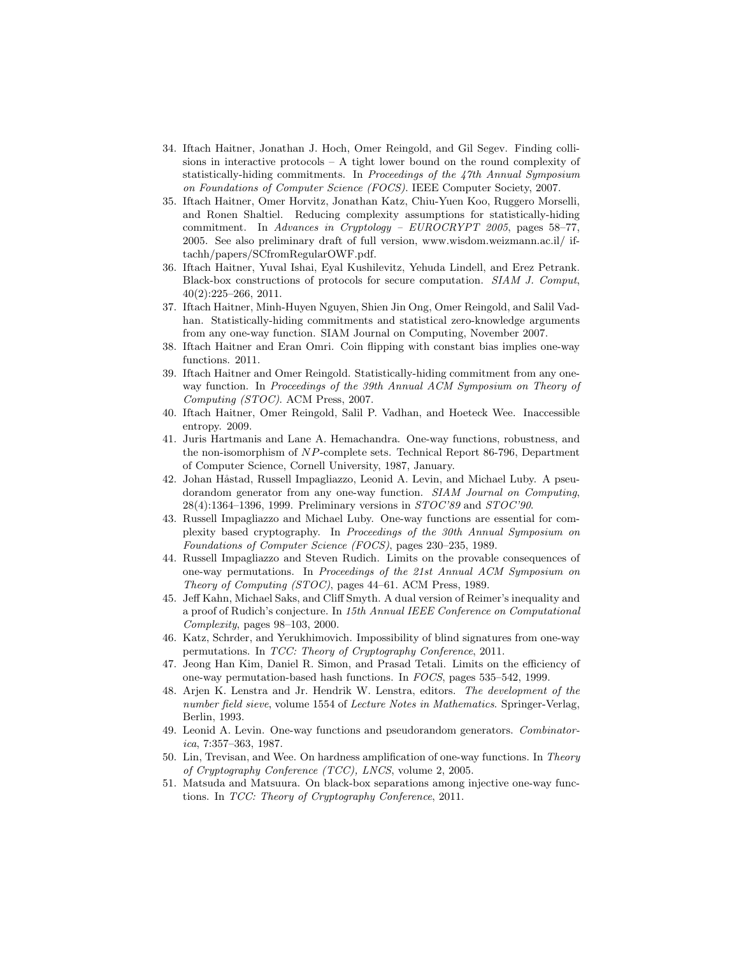- 34. Iftach Haitner, Jonathan J. Hoch, Omer Reingold, and Gil Segev. Finding collisions in interactive protocols  $- A$  tight lower bound on the round complexity of statistically-hiding commitments. In Proceedings of the 47th Annual Symposium on Foundations of Computer Science (FOCS). IEEE Computer Society, 2007.
- 35. Iftach Haitner, Omer Horvitz, Jonathan Katz, Chiu-Yuen Koo, Ruggero Morselli, and Ronen Shaltiel. Reducing complexity assumptions for statistically-hiding commitment. In Advances in Cryptology – EUROCRYPT 2005, pages 58–77, 2005. See also preliminary draft of full version, www.wisdom.weizmann.ac.il/ iftachh/papers/SCfromRegularOWF.pdf.
- 36. Iftach Haitner, Yuval Ishai, Eyal Kushilevitz, Yehuda Lindell, and Erez Petrank. Black-box constructions of protocols for secure computation. SIAM J. Comput, 40(2):225–266, 2011.
- 37. Iftach Haitner, Minh-Huyen Nguyen, Shien Jin Ong, Omer Reingold, and Salil Vadhan. Statistically-hiding commitments and statistical zero-knowledge arguments from any one-way function. SIAM Journal on Computing, November 2007.
- 38. Iftach Haitner and Eran Omri. Coin flipping with constant bias implies one-way functions. 2011.
- 39. Iftach Haitner and Omer Reingold. Statistically-hiding commitment from any oneway function. In Proceedings of the 39th Annual ACM Symposium on Theory of Computing (STOC). ACM Press, 2007.
- 40. Iftach Haitner, Omer Reingold, Salil P. Vadhan, and Hoeteck Wee. Inaccessible entropy. 2009.
- 41. Juris Hartmanis and Lane A. Hemachandra. One-way functions, robustness, and the non-isomorphism of NP-complete sets. Technical Report 86-796, Department of Computer Science, Cornell University, 1987, January.
- 42. Johan Håstad, Russell Impagliazzo, Leonid A. Levin, and Michael Luby. A pseudorandom generator from any one-way function. SIAM Journal on Computing, 28(4):1364–1396, 1999. Preliminary versions in STOC'89 and STOC'90.
- 43. Russell Impagliazzo and Michael Luby. One-way functions are essential for complexity based cryptography. In Proceedings of the 30th Annual Symposium on Foundations of Computer Science (FOCS), pages 230–235, 1989.
- 44. Russell Impagliazzo and Steven Rudich. Limits on the provable consequences of one-way permutations. In Proceedings of the 21st Annual ACM Symposium on Theory of Computing (STOC), pages 44–61. ACM Press, 1989.
- 45. Jeff Kahn, Michael Saks, and Cliff Smyth. A dual version of Reimer's inequality and a proof of Rudich's conjecture. In 15th Annual IEEE Conference on Computational Complexity, pages 98–103, 2000.
- 46. Katz, Schrder, and Yerukhimovich. Impossibility of blind signatures from one-way permutations. In TCC: Theory of Cryptography Conference, 2011.
- 47. Jeong Han Kim, Daniel R. Simon, and Prasad Tetali. Limits on the efficiency of one-way permutation-based hash functions. In FOCS, pages 535–542, 1999.
- 48. Arjen K. Lenstra and Jr. Hendrik W. Lenstra, editors. The development of the number field sieve, volume 1554 of Lecture Notes in Mathematics. Springer-Verlag, Berlin, 1993.
- 49. Leonid A. Levin. One-way functions and pseudorandom generators. Combinatorica, 7:357–363, 1987.
- 50. Lin, Trevisan, and Wee. On hardness amplification of one-way functions. In Theory of Cryptography Conference (TCC), LNCS, volume 2, 2005.
- 51. Matsuda and Matsuura. On black-box separations among injective one-way functions. In TCC: Theory of Cryptography Conference, 2011.